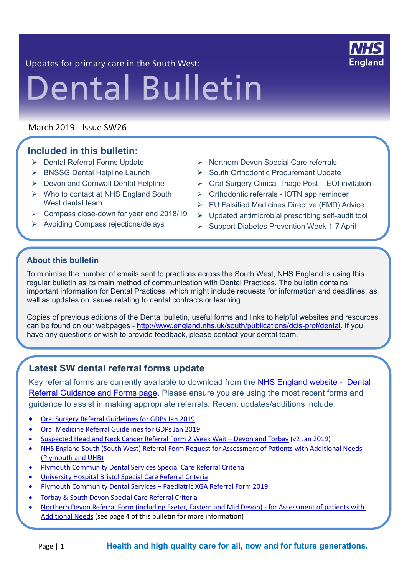

Updates for primary care in the South West:

# **Dental Bulletin**

March 2019 - Issue SW26

# **Included in this bulletin:**

- ➢ Dental Referral Forms Update
- ➢ BNSSG Dental Helpline Launch
- ➢ Devon and Cornwall Dental Helpline
- ➢ Who to contact at NHS England South West dental team
- ➢ Compass close-down for year end 2018/19
- ➢ Avoiding Compass rejections/delays
- ➢ Northern Devon Special Care referrals
- ➢ South Orthodontic Procurement Update
- ➢ Oral Surgery Clinical Triage Post EOI invitation
- ➢ Orthodontic referrals IOTN app reminder
- ➢ EU Falsified Medicines Directive (FMD) Advice
- ➢ Updated antimicrobial prescribing self-audit tool
- ➢ Support Diabetes Prevention Week 1-7 April

## **About this bulletin**

To minimise the number of emails sent to practices across the South West, NHS England is using this regular bulletin as its main method of communication with Dental Practices. The bulletin contains important information for Dental Practices, which might include requests for information and deadlines, as well as updates on issues relating to dental contracts or learning.

Copies of previous editions of the Dental bulletin, useful forms and links to helpful websites and resources can be found on our webpages - [http://www.england.nhs.uk/south/publications/dcis-prof/dental.](http://www.england.nhs.uk/south/publications/dcis-prof/dental) If you have any questions or wish to provide feedback, please contact your dental team.

# **Latest SW dental referral forms update**

Key referral forms are currently available to download from the [NHS England website - Dental](https://www.england.nhs.uk/south/info-professional/dental/dcis/forms/)  [Referral Guidance and Forms page.](https://www.england.nhs.uk/south/info-professional/dental/dcis/forms/) Please ensure you are using the most recent forms and guidance to assist in making appropriate referrals. Recent updates/additions include:

- [Oral Surgery Referral Guidelines for GDPs Jan 2019](https://www.england.nhs.uk/south/wp-content/uploads/sites/6/2019/02/mcn-oral-surgery-referral-guidelines-for-gdps-jan-2019-v1.pdf)
- [Oral Medicine Referral Guidelines for GDPs Jan 2019](https://www.england.nhs.uk/south/wp-content/uploads/sites/6/2019/02/mcn-oral-medicine-referral-guidelines-for-gdps-jan-2019-v1.pdf)
- [Suspected Head and Neck Cancer Referral Form 2 Week Wait –](https://www.england.nhs.uk/south/wp-content/uploads/sites/6/2019/02/suspected-head-neck-cancer-form.docx) Devon and Torbay (v2 Jan 2019)
- [NHS England South \(South West\) Referral Form Request for Assessment of Patients with Additional Needs](https://www.england.nhs.uk/south/wp-content/uploads/sites/6/2014/09/special-care-dental-service-referral-form-v9.docx)  [\(Plymouth and UHB\)](https://www.england.nhs.uk/south/wp-content/uploads/sites/6/2014/09/special-care-dental-service-referral-form-v9.docx)
- [Plymouth Community Dental Services Special Care Referral Criteria](https://www.england.nhs.uk/south/wp-content/uploads/sites/6/2019/02/plymouth-cds-special-care-referral-criteria.pdf)
- [University Hospital Bristol Special Care Referral Criteria](https://www.england.nhs.uk/south/wp-content/uploads/sites/6/2019/02/uhb-special-care-referral-criteria.pdf)
- [Plymouth Community Dental Services –](https://www.england.nhs.uk/south/wp-content/uploads/sites/6/2019/03/plymouth-community-dental-services-paediatric-xga-referral-form-2019.docx) Paediatric XGA Referral Form 2019
- [Torbay & South Devon Special Care Referral Criteria](https://www.england.nhs.uk/south/wp-content/uploads/sites/6/2019/02/torbay-and-south-devon-special-care-referral-criteria.pdf)
- Northern [Devon Referral Form \(including Exeter, Eastern and Mid Devon\) -](https://www.england.nhs.uk/south/wp-content/uploads/sites/6/2018/02/nhs-england-south-west-referral-form-request-for-assessment-of-patients-with-additional-needs.docx) for Assessment of patients with [Additional Needs](https://www.england.nhs.uk/south/wp-content/uploads/sites/6/2018/02/nhs-england-south-west-referral-form-request-for-assessment-of-patients-with-additional-needs.docx) (see page 4 of this bulletin for more information)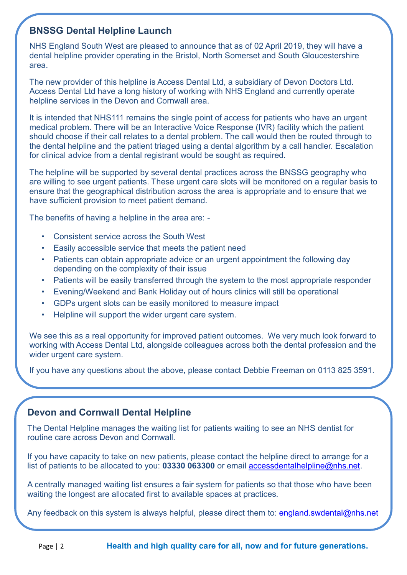# **BNSSG Dental Helpline Launch**

NHS England South West are pleased to announce that as of 02 April 2019, they will have a dental helpline provider operating in the Bristol, North Somerset and South Gloucestershire area.

The new provider of this helpline is Access Dental Ltd, a subsidiary of Devon Doctors Ltd. Access Dental Ltd have a long history of working with NHS England and currently operate helpline services in the Devon and Cornwall area.

It is intended that NHS111 remains the single point of access for patients who have an urgent medical problem. There will be an Interactive Voice Response (IVR) facility which the patient should choose if their call relates to a dental problem. The call would then be routed through to the dental helpline and the patient triaged using a dental algorithm by a call handler. Escalation for clinical advice from a dental registrant would be sought as required.

The helpline will be supported by several dental practices across the BNSSG geography who are willing to see urgent patients. These urgent care slots will be monitored on a regular basis to ensure that the geographical distribution across the area is appropriate and to ensure that we have sufficient provision to meet patient demand.

The benefits of having a helpline in the area are: -

- Consistent service across the South West
- Easily accessible service that meets the patient need
- Patients can obtain appropriate advice or an urgent appointment the following day depending on the complexity of their issue
- Patients will be easily transferred through the system to the most appropriate responder
- Evening/Weekend and Bank Holiday out of hours clinics will still be operational
- GDPs urgent slots can be easily monitored to measure impact
- Helpline will support the wider urgent care system.

We see this as a real opportunity for improved patient outcomes. We very much look forward to working with Access Dental Ltd, alongside colleagues across both the dental profession and the wider urgent care system.

If you have any questions about the above, please contact Debbie Freeman on 0113 825 3591.

### **Devon and Cornwall Dental Helpline**

The Dental Helpline manages the waiting list for patients waiting to see an NHS dentist for routine care across Devon and Cornwall.

If you have capacity to take on new patients, please contact the helpline direct to arrange for a list of patients to be allocated to you: **03330 063300** or email [accessdentalhelpline@nhs.net.](mailto:accessdentalhelpline@nhs.net)

A centrally managed waiting list ensures a fair system for patients so that those who have been waiting the longest are allocated first to available spaces at practices.

Any feedback on this system is always helpful, please direct them to: [england.swdental@nhs.net](mailto:england.swdental@nhs.net)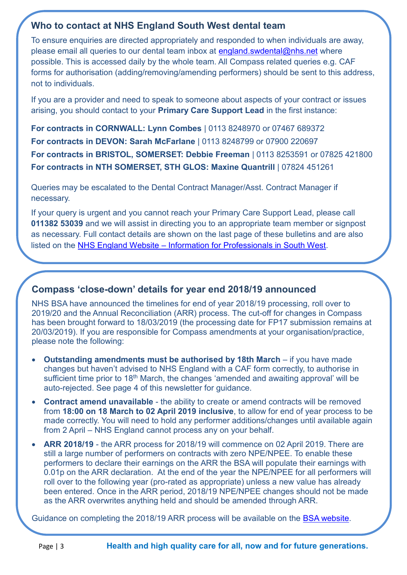# **Who to contact at NHS England South West dental team**

To ensure enquiries are directed appropriately and responded to when individuals are away, please email all queries to our dental team inbox at [england.swdental@nhs.net](mailto:england.swdental@nhs.net) where possible. This is accessed daily by the whole team. All Compass related queries e.g. CAF forms for authorisation (adding/removing/amending performers) should be sent to this address, not to individuals.

If you are a provider and need to speak to someone about aspects of your contract or issues arising, you should contact to your **Primary Care Support Lead** in the first instance:

**For contracts in CORNWALL: Lynn Combes** | 0113 8248970 or 07467 689372 **For contracts in DEVON: Sarah McFarlane** | 0113 8248799 or 07900 220697 **For contracts in BRISTOL, SOMERSET: Debbie Freeman** | 0113 8253591 or 07825 421800 **For contracts in NTH SOMERSET, STH GLOS: Maxine Quantrill** | 07824 451261

Queries may be escalated to the Dental Contract Manager/Asst. Contract Manager if necessary.

If your query is urgent and you cannot reach your Primary Care Support Lead, please call **011382 53039** and we will assist in directing you to an appropriate team member or signpost as necessary. Full contact details are shown on the last page of these bulletins and are also listed on the NHS England Website – [Information for Professionals in South West.](https://www.england.nhs.uk/south/info-professional/dental/dcis/)

# **Compass 'close-down' details for year end 2018/19 announced**

NHS BSA have announced the timelines for end of year 2018/19 processing, roll over to 2019/20 and the Annual Reconciliation (ARR) process. The cut-off for changes in Compass has been brought forward to 18/03/2019 (the processing date for FP17 submission remains at 20/03/2019). If you are responsible for Compass amendments at your organisation/practice, please note the following:

- **Outstanding amendments must be authorised by 18th March** if you have made changes but haven't advised to NHS England with a CAF form correctly, to authorise in sufficient time prior to 18<sup>th</sup> March, the changes 'amended and awaiting approval' will be auto-rejected. See page 4 of this newsletter for guidance.
- **Contract amend unavailable** the ability to create or amend contracts will be removed from **18:00 on 18 March to 02 April 2019 inclusive**, to allow for end of year process to be made correctly. You will need to hold any performer additions/changes until available again from 2 April – NHS England cannot process any on your behalf.
- **ARR 2018/19** the ARR process for 2018/19 will commence on 02 April 2019. There are still a large number of performers on contracts with zero NPE/NPEE. To enable these performers to declare their earnings on the ARR the BSA will populate their earnings with 0.01p on the ARR declaration. At the end of the year the NPE/NPEE for all performers will roll over to the following year (pro-rated as appropriate) unless a new value has already been entered. Once in the ARR period, 2018/19 NPE/NPEE changes should not be made as the ARR overwrites anything held and should be amended through ARR.

Guidance on completing the 2018/19 ARR process will be available on the [BSA website.](https://www.nhsbsa.nhs.uk/compass/compass-help-and-guidance)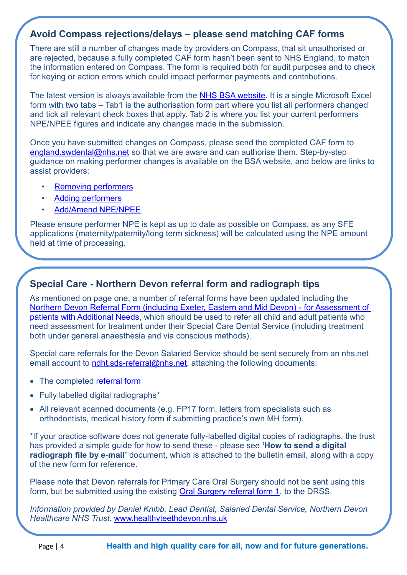# **Avoid Compass rejections/delays – please send matching CAF forms**

There are still a number of changes made by providers on Compass, that sit unauthorised or are rejected, because a fully completed CAF form hasn't been sent to NHS England, to match the information entered on Compass. The form is required both for audit purposes and to check for keying or action errors which could impact performer payments and contributions.

The latest version is always available from the [NHS BSA website.](https://www.nhsbsa.nhs.uk/compass/compass-help-and-guidance) It is a single Microsoft Excel form with two tabs – Tab1 is the authorisation form part where you list all performers changed and tick all relevant check boxes that apply. Tab 2 is where you list your current performers NPE/NPEE figures and indicate any changes made in the submission.

Once you have submitted changes on Compass, please send the completed CAF form to [england.swdental@nhs.net](mailto:england.swdental@nhs.net) so that we are aware and can authorise them. Step-by-step guidance on making performer changes is available on the BSA website, and below are links to assist providers:

- [Removing performers](https://contactcentreservices.nhsbsa.nhs.uk/selfnhsukokb/AskUs_Dental/en-gb/11115/contract-management/48357/how-do-i-remove-a-performer-from-my-contract)
- [Adding performers](https://contactcentreservices.nhsbsa.nhs.uk/selfnhsukokb/AskUs_Dental/en-gb/11115/contract-management/41500/how-do-i-add-a-performer-to-a-contract)
- [Add/Amend NPE/NPEE](https://contactcentreservices.nhsbsa.nhs.uk/selfnhsukokb/AskUs_Dental/en-gb/9718/contract-creation-amending/37503/how-do-i-add-amend-estimated-net-pensionable-earnings-npe-net-pensionable-earnings-equivalents-npee)

Please ensure performer NPE is kept as up to date as possible on Compass, as any SFE applications (maternity/paternity/long term sickness) will be calculated using the NPE amount held at time of processing.

# **Special Care - Northern Devon referral form and radiograph tips**

As mentioned on page one, a number of referral forms have been updated including the [Northern Devon Referral Form \(including Exeter, Eastern and Mid Devon\) -](https://www.england.nhs.uk/south/wp-content/uploads/sites/6/2018/02/nhs-england-south-west-referral-form-request-for-assessment-of-patients-with-additional-needs.docx) for Assessment of [patients with Additional Needs,](https://www.england.nhs.uk/south/wp-content/uploads/sites/6/2018/02/nhs-england-south-west-referral-form-request-for-assessment-of-patients-with-additional-needs.docx) which should be used to refer all child and adult patients who need assessment for treatment under their Special Care Dental Service (including treatment both under general anaesthesia and via conscious methods).

Special care referrals for the Devon Salaried Service should be sent securely from an nhs.net email account to ndht.sds-referral@nhs.net. attaching the following documents:

- The completed [referral form](https://www.england.nhs.uk/south/wp-content/uploads/sites/6/2018/02/nhs-england-south-west-referral-form-request-for-assessment-of-patients-with-additional-needs.docx)
- Fully labelled digital radiographs\*
- All relevant scanned documents (e.g. FP17 form, letters from specialists such as orthodontists, medical history form if submitting practice's own MH form).

\*If your practice software does not generate fully-labelled digital copies of radiographs, the trust has provided a simple guide for how to send these - please see **'How to send a digital radiograph file by e-mail'** document, which is attached to the bulletin email, along with a copy of the new form for reference.

Please note that Devon referrals for Primary Care Oral Surgery should not be sent using this form, but be submitted using the existing [Oral Surgery referral form 1,](https://www.england.nhs.uk/south/wp-content/uploads/sites/6/2018/09/revised-form-1.doc) to the DRSS.

*Information provided by Daniel Knibb, Lead Dentist, Salaried Dental Service, Northern Devon Healthcare NHS Trust.* [www.healthyteethdevon.nhs.uk](http://www.healthyteethdevon.nhs.uk/)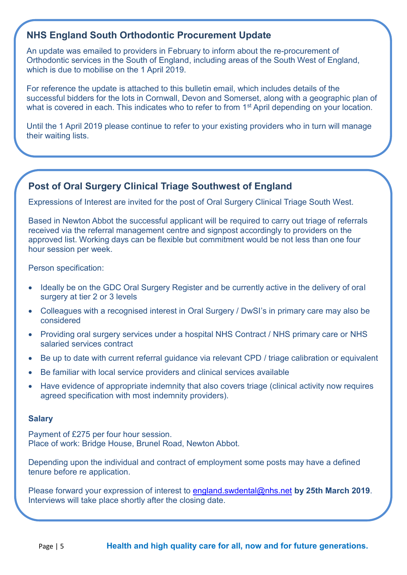# **NHS England South Orthodontic Procurement Update**

An update was emailed to providers in February to inform about the re-procurement of Orthodontic services in the South of England, including areas of the South West of England, which is due to mobilise on the 1 April 2019.

For reference the update is attached to this bulletin email, which includes details of the successful bidders for the lots in Cornwall, Devon and Somerset, along with a geographic plan of what is covered in each. This indicates who to refer to from 1<sup>st</sup> April depending on your location.

Until the 1 April 2019 please continue to refer to your existing providers who in turn will manage their waiting lists.

# **Post of Oral Surgery Clinical Triage Southwest of England**

Expressions of Interest are invited for the post of Oral Surgery Clinical Triage South West.

Based in Newton Abbot the successful applicant will be required to carry out triage of referrals received via the referral management centre and signpost accordingly to providers on the approved list. Working days can be flexible but commitment would be not less than one four hour session per week.

Person specification:

- Ideally be on the GDC Oral Surgery Register and be currently active in the delivery of oral surgery at tier 2 or 3 levels
- Colleagues with a recognised interest in Oral Surgery / DwSI's in primary care may also be considered
- Providing oral surgery services under a hospital NHS Contract / NHS primary care or NHS salaried services contract
- Be up to date with current referral guidance via relevant CPD / triage calibration or equivalent
- Be familiar with local service providers and clinical services available
- Have evidence of appropriate indemnity that also covers triage (clinical activity now requires agreed specification with most indemnity providers).

#### **Salary**

Payment of £275 per four hour session. Place of work: Bridge House, Brunel Road, Newton Abbot.

Depending upon the individual and contract of employment some posts may have a defined tenure before re application.

Please forward your expression of interest to [england.swdental@nhs.net](mailto:england.swdental@nhs.net) **by 25th March 2019**. Interviews will take place shortly after the closing date.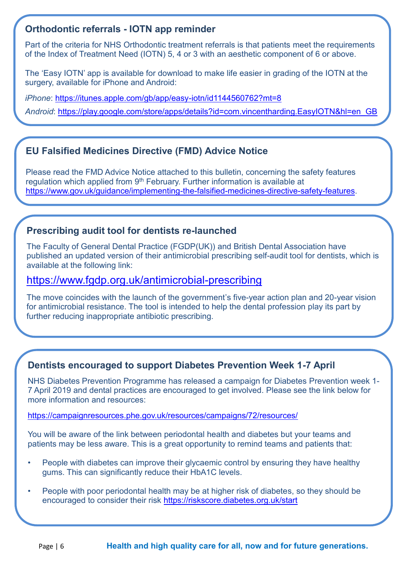# **Orthodontic referrals - IOTN app reminder**

Part of the criteria for NHS Orthodontic treatment referrals is that patients meet the requirements of the Index of Treatment Need (IOTN) 5, 4 or 3 with an aesthetic component of 6 or above.

The 'Easy IOTN' app is available for download to make life easier in grading of the IOTN at the surgery, available for iPhone and Android:

*iPhone*: <https://itunes.apple.com/gb/app/easy-iotn/id1144560762?mt=8>

*Android*: [https://play.google.com/store/apps/details?id=com.vincentharding.EasyIOTN&hl=en\\_GB](https://play.google.com/store/apps/details?id=com.vincentharding.EasyIOTN&hl=en_GB)

# **EU Falsified Medicines Directive (FMD) Advice Notice**

Please read the FMD Advice Notice attached to this bulletin, concerning the safety features regulation which applied from  $9<sup>th</sup>$  February. Further information is available at [https://www.gov.uk/guidance/implementing-the-falsified-medicines-directive-safety-features.](https://www.gov.uk/guidance/implementing-the-falsified-medicines-directive-safety-features)

# **Prescribing audit tool for dentists re-launched**

The Faculty of General Dental Practice (FGDP(UK)) and British Dental Association have published an updated version of their antimicrobial prescribing self-audit tool for dentists, which is available at the following link:

# <https://www.fgdp.org.uk/antimicrobial-prescribing>

The move coincides with the launch of the government's five-year action plan and 20-year vision for antimicrobial resistance. The tool is intended to help the dental profession play its part by further reducing inappropriate antibiotic prescribing.

# **Dentists encouraged to support Diabetes Prevention Week 1-7 April**

NHS Diabetes Prevention Programme has released a campaign for Diabetes Prevention week 1- 7 April 2019 and dental practices are encouraged to get involved. Please see the link below for more information and resources:

#### <https://campaignresources.phe.gov.uk/resources/campaigns/72/resources/>

You will be aware of the link between periodontal health and diabetes but your teams and patients may be less aware. This is a great opportunity to remind teams and patients that:

- People with diabetes can improve their glycaemic control by ensuring they have healthy gums. This can significantly reduce their HbA1C levels.
- People with poor periodontal health may be at higher risk of diabetes, so they should be encouraged to consider their risk<https://riskscore.diabetes.org.uk/start>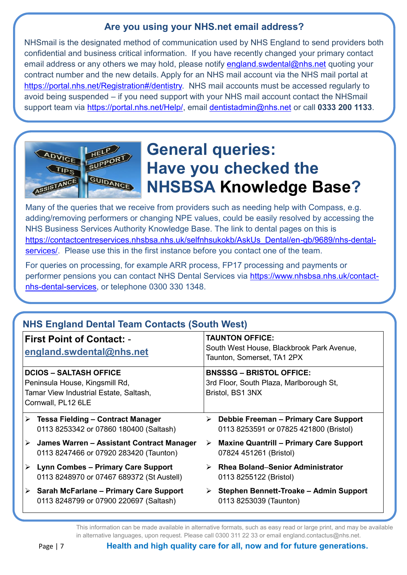# **Are you using your NHS.net email address?**

NHSmail is the designated method of communication used by NHS England to send providers both confidential and business critical information. If you have recently changed your primary contact email address or any others we may hold, please notify [england.swdental@nhs.net](mailto:england.swdental@nhs.net) quoting your contract number and the new details. Apply for an NHS mail account via the NHS mail portal at [https://portal.nhs.net/Registration#/dentistry.](https://portal.nhs.net/Registration#/dentistry) NHS mail accounts must be accessed regularly to avoid being suspended – if you need support with your NHS mail account contact the NHSmail support team via [https://portal.nhs.net/Help/,](https://portal.nhs.net/Help/) email [dentistadmin@nhs.net](mailto:dentistadmin@nhs.net) or call **0333 200 1133**.



# **General queries: Have you checked the NHSBSA [Knowledge Base?](https://contactcentreservices.nhsbsa.nhs.uk/selfnhsukokb/AskUs_Dental/en-gb/search?query=add+performer&action=search&advancedSearch=true¤tGroup=9691)**

Many of the queries that we receive from providers such as needing help with Compass, e.g. adding/removing performers or changing NPE values, could be easily resolved by accessing the NHS Business Services Authority Knowledge Base. The link to dental pages on this is [https://contactcentreservices.nhsbsa.nhs.uk/selfnhsukokb/AskUs\\_Dental/en-gb/9689/nhs-dental](https://contactcentreservices.nhsbsa.nhs.uk/selfnhsukokb/AskUs_Dental/en-gb/9689/nhs-dental-services/)[services/.](https://contactcentreservices.nhsbsa.nhs.uk/selfnhsukokb/AskUs_Dental/en-gb/9689/nhs-dental-services/) Please use this in the first instance before you contact one of the team.

For queries on processing, for example ARR process, FP17 processing and payments or performer pensions you can contact NHS Dental Services via [https://www.nhsbsa.nhs.uk/contact](https://www.nhsbsa.nhs.uk/contact-nhs-dental-services)[nhs-dental-services,](https://www.nhsbsa.nhs.uk/contact-nhs-dental-services) or telephone 0300 330 1348.

#### **NHS England Dental Team Contacts (South West) First Point of Contact: [england.swdental@nhs.net](mailto:england.swdental@nhs.net) TAUNTON OFFICE:** South West House, Blackbrook Park Avenue, Taunton, Somerset, TA1 2PX **DCIOS – SALTASH OFFICE** Peninsula House, Kingsmill Rd, Tamar View Industrial Estate, Saltash, Cornwall, PL12 6LE **BNSSSG – BRISTOL OFFICE:** 3rd Floor, South Plaza, Marlborough St, Bristol, BS1 3NX ➢ **Tessa Fielding – Contract Manager** 0113 8253342 or 07860 180400 (Saltash) ➢ **James Warren – Assistant Contract Manager** 0113 8247466 or 07920 283420 (Taunton) ➢ **Lynn Combes – Primary Care Support** 0113 8248970 or 07467 689372 (St Austell) ➢ **Sarah McFarlane – Primary Care Support** 0113 8248799 or 07900 220697 (Saltash) ➢ **Debbie Freeman – Primary Care Support** 0113 8253591 or 07825 421800 (Bristol) ➢ **Maxine Quantrill – Primary Care Support** 07824 451261 (Bristol) ➢ **Rhea Boland**–**Senior Administrator** 0113 8255122 (Bristol) ➢ **Stephen Bennett-Troake – Admin Support** 0113 8253039 (Taunton)

This information can be made available in alternative formats, such as easy read or large print, and may be available in alternative languages, upon request. Please call 0300 311 22 33 or email england.contactus@nhs.net.